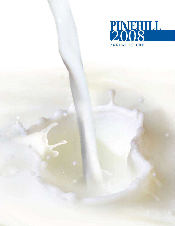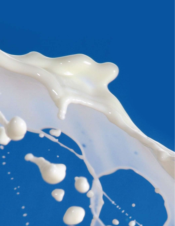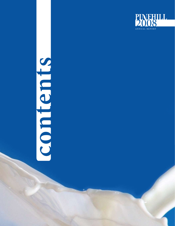

# CODÉPRES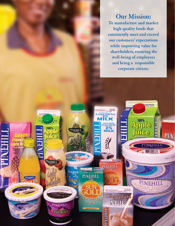**Our Mission: To manufacture and market high quality foods that consistently meet and exceed our customers' expectations while improving value for shareholders, ensuring the well-being of employees and being a responsible corporate citizen.**

**Save of Career** 

**OSH LOW FAT** 

**OAIA** 

PINEHILL

STIN

**LEEP REFINIERATES (TO OPEN)** 

Chocolate

M

皇

**PANEEMAL** 

**Tesh LOW FAT**<br>2%<br>MILK

 $0.26.2011$ 

100%

WEINER

PINEHILL  $\alpha$  ER

37 BV FEB 2006 AC

**HAL** 

PINEHILL

**NEH** 

**SETTLE** H<sub>ogual</sub>

PINEHILI

Mixed Be11y

**Steam** 

<u>PINEHILL</u>

EVAPORATED

**MILK** 

250 ml (R 45 R cm)

**REFRIGERATED**<br>ANPED ABOVE

E

**IT THE TIME** 

PINEE

mium Icecream

 $111$ 

PIN

DEC 2008

100%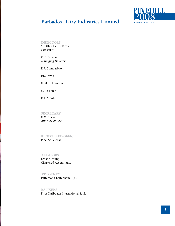# **Barbados Dairy Industries Limited**



#### **DIRECTORS**

Sir Allan Fields, K.C.M.G. *Chairman*

C. E. Gibson *Managing Director*

E.R. Cumberbatch

P.D. Davis

N. McD. Brewster

C.R. Cozier

D.B. Stoute

## **SECRETARY**

N.M. Brace *Attorney-at-Law*

# **REGISTERED OFFICE**

Pine, St. Michael

# **AUDITORS**

Ernst & Young Chartered Accountants

# **ATTORNEY**

Patterson Cheltenham, Q.C.

# **BANKERS**

First Caribbean International Bank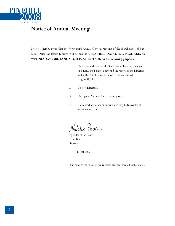

# **Notice of Annual Meeting**

Notice is hereby given that the Forty-third Annual General Meeting of the shareholders of Barbados Dairy Industries Limited will be held at: **PINE HILL DAIRY, ST. MICHAEL,** on **WEDNESDAY, 23RD JANUARY, 2008, AT 10:30 A.M. for the following purposes:**

- **1.** To receive and consider the Statement of Income, Changes in Equity, the Balance Sheet and the reports of the Directors and of the Auditors with respect to the year ended August 31, 2007.
- **2.** To elect Directors.
- **3.** To appoint Auditors for the ensuing year.
- **4.** To transact any other business which may be transacted at an annual meeting.

Natalie Brace

By order of the Board N.M. Brace Secretary

December 04, 2007

The notes to the enclosed proxy forms are incorporated in this notice.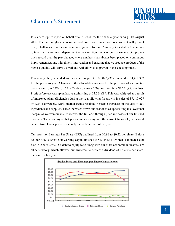

# **Chairman's Statement**

It is a privilege to report on behalf of our Board, for the financial year ending 31st August 2008. The current global economic condition is our immediate concern as it will present many challenges in achieving continued growth for our Company. Our ability to continue to invest will very much depend on the consumption trends of our consumers. Our proven track record over the past decade, where emphasis has always been placed on continuous improvements, along with timely intervention and ensuring that we produce products of the highest quality, will serve us well and will allow us to prevail in these testing times.

Financially, the year ended with an after tax profit of \$1,022,239 compared to \$4,411,337 for the previous year. Changes in the allowable asset rate for the purposes of income tax calculation from 25% to 15% effective January 2008, resulted in a \$2,241,850 tax loss. Profit before tax was up on last year, finishing at \$3,264,089. This was achieved as a result of improved plant efficiencies during the year allowing for growth in sales of \$7,417,927 or 12%. Conversely, world market trends resulted in sizable increases in the cost of key ingredients and supplies. These increases drove our cost of sales up resulting in a lower net margin, as we were unable to recover the full cost through price increases of our finished products. There are signs that prices are softening and the current financial year should benefit from lower prices, especially in the latter half of the year.

Our after tax Earnings Per Share (EPS) declined from \$0.86 to \$0.22 per share. Before tax our EPS is \$0.69. Our working capital finished at \$13,244,317, which is an increase of \$3,618,230 or 38%. Our debt to equity ratio along with our other economic indicators, are all satisfactory, which allowed our Directors to declare a dividend of 15 cents per share, the same as last year.

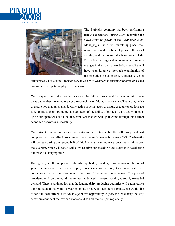



The Barbados economy has been performing below expectations during 2008, recording the slowest rate of growth in real GDP since 2003. Managing in the current unfolding global economic crisis and the threat it poses to the social stability and the continued advancement of the Barbadian and regional economies will require changes in the way that we do business. We will have to undertake a thorough examination of our operations so as to achieve higher levels of

efficiencies. Such actions are necessary if we are to weather the current economic crisis and emerge as a competitive player in the region.

Our company has in the past demonstrated the ability to survive difficult economic downturns but neither the trajectory nor the cure of the unfolding crisis is clear. Therefore, I wish to assure you that quick and decisive action is being taken to ensure that our operations are functioning at their optimum. I am confident of the ability of our team entrusted with managing our operations and I am also confident that we will again come through this current economic downturn successfully.

Our restructuring programmes as we centralised activities within the BHL group is almost complete, with centralised procurement due to be implemented in January 2009. The benefits will be seen during the second half of this financial year and we expect that within a year the leverage, which will result will allow us drive our cost down and assist us in weathering out these challenging times.

During the year, the supply of fresh milk supplied by the dairy farmers was similar to last year. The anticipated increase in supply has not materialised as yet and as a result there continues to be seasonal shortages at the start of the winter tourist season. The price of powdered milk on the world market has moderated in recent months, as supply exceeded demand. There is anticipation that the leading dairy producing countries will again reduce their output and that within a year or so, the price will once more increase. We would like to see our local farmers take advantage of this opportunity to grow the local dairy industry as we are confident that we can market and sell all their output regionally.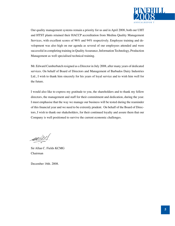

Our quality management systems remain a priority for us and in April 2008, both our UHT and HTST plants retained their HACCP accreditation from Medina Quality Management Services, with excellent scores of 96% and 94% respectively. Employee training and development was also high on our agenda as several of our employees attended and were successful in completing training in Quality Assurance, Information Technology, Production Management as well specialised technical training.

Mr. Edward Cumberbatch resigned as a Director in July 2008, after many years of dedicated services. On behalf of Board of Directors and Management of Barbados Dairy Industries Ltd., I wish to thank him sincerely for his years of loyal service and to wish him well for the future.

I would also like to express my gratitude to you, the shareholders and to thank my fellow directors, the management and staff for their commitment and dedication, during the year. I must emphasise that the way we manage our business will be tested during the reaminder of this financial year and we need to be extremly prudent. On behalf of the Board of Directors, I wish to thank our shakeholders, for their continued loyalty and assure them that our Company is well positioned to survive the current economic challenges.

Sir Allan C. Fields KCMG Chairman

December 16th. 2008.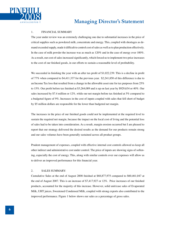

# **Managing Director's Statement**

#### 1. FINANCIAL SUMMARY

The year under review was an extremely challenging one due to substantial increases in the price of critical supplies such as powdered milk, concentrate and energy. This, coupled with shortages as demand exceeded supply, made it difficult to control cost of sales as well as to plan production effectively. In the case of milk powder the increase was as much as 120% and in the case of energy over 100%. As a result, our cost of sales increased significantly, which forced us to implement two price increases to the cost of our finished goods, in our efforts to sustain a reasonable level of profitability.

We succeeded in finishing the year with an after tax profit of \$1,022,239. This is a decline in profit of 77% when compared to \$4,411,337 for the previous year. \$2,241,850 of this difference is due to an Income Tax loss that resulted from a change in the allowable asset rate for tax purposes from 25% to 15%. Our profit before tax finished at \$3,264,089 and is up on last year by \$929,634 or 40%. Our sales increased by \$7.4 million or 12%, while our net margin before tax finished at 5% compared to a budgeted figure of 9%. Increases in the cost of inputs coupled with sales that fell short of budget by \$5 million dollars are responsible for the lower than budgeted net margin.

The increases in the price of our finished goods could not be implemented at the required level to sustain the required net margin, because the impact on the local cost of living and the potential loss of sales had to be taken into consideration. As a result, margin erosion occurred but I am pleased to report that our strategy delivered the desired results as the demand for our products remain strong and our sales volumes have been generally sustained across all product groups.

Prudent management of expenses, coupled with effective internal cost controls allowed us keep all other indirect and administrative cost under control. The price of inputs are showing signs of softening, especially the cost of energy. This, along with similar controls over our expenses will allow us to deliver an improved performance for this financial year.

#### 2. SALES SUMMARY:

Cumulative Sales at the end of August 2008 finished at \$68,877,975 compared to \$60,461,047 at the end of August 2007. This is an increase of \$7,417,927 or 12%. Price increases of our finished products, accounted for the majority of this increase. However, solid unit/case sales of Evaporated Milk, UHT juices, Sweetened Condensed Milk, coupled with strong exports also contributed to the improved performance. Figure 1 below shows our sales as a percentage of gross sales.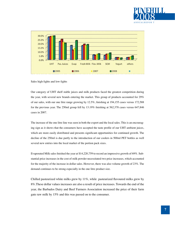



Sales high-lights and low-lights

Our category of UHT shelf stable juices and milk products faced the greatest competition during the year, with several new brands entering the market. This group of products accounted for 29% of our sales, with our one litre range growing by 12.5%, finishing at 194,155 cases versus 172,588 for the previous year. The 250ml group fell by 13.19% finishing at 562,378 cases versus 647,846 cases in 2007.

The increase of the one litre line was seen in both the export and the local sales. This is an encouraging sign as it shows that the consumers have accepted the taste profile of our UHT ambient juices, which are more easily distributed and presents significant opportunities for continued growth. The decline of the 250ml is due partly to the introduction of our coolers in 500ml PET bottles as well several new entries into the local market of the portion pack sizes.

Evaporated Milk sales finished the year at \$14,220,759 to record an impressive growth of 69%. Substantial price increases in the cost of milk powder necessitated two price increases, which accounted for the majority of the increase in dollar sales. However, there was also volume growth of 23%. The demand continues to be strong especially in the one litre product size.

Chilled pasteurized white milks grew by 11%, while pasteurized flavoured milks grew by 8%.These dollar values increases are also a result of price increases. Towards the end of the year, the Barbados Dairy and Beef Farmers Association increased the price of their farm gate raw milk by 15% and this was passed on to the consumer.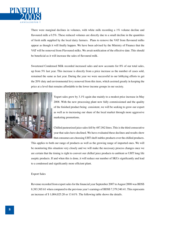

There were marginal declines in volumes, with white milk recording a 1% volume decline and flavoured milk a 0.5%. These reduced volumes are directly due to a small decline in the quantities of fresh milk supplied by the local dairy farmers. Plans to remove the VAT from flavoured milks appear as though it will finally happen. We have been advised by the Ministry of Finance that the VAT will be removed from Flavoured milks. We await notification of the effective date. This should be beneficial as it will increase the sales of flavoured milk.

Sweetened Condensed Milk recorded increased sales and now accounts for 8% of our total sales, up from 5% last year. This increase is directly from a price increase as the number of cases sold, remained the same as last year. During the year we were successful in our lobbying efforts to get the 20% duty and environmental levy removed from this item, which assisted greatly in keeping the price at a level that remains affordable to the lower income groups in our society.



Yogurt sales grew by 3.1% again due mainly to a modest price increase in May 2008. With the new processing plant now fully commissioned and the quality of the finished product being consistent, we will be seeking to grow our export as well as to increasing our share of the local market through more aggressive marketing promotions.

Chilled pasteurized juice sales fell by 487,562 litres. This is the third consecutive year that sales have declined. We have evaluated these declines and results show that consumes are choosing UHT shelf stables products over the chilled products.

This applies to both our range of products as well as the growing range of imported ones. We will be monitoring this situation very closely and we will make the necessary process changes once we are certain that the timing is right to convert our chilled juice products to ambient or UHT long life aseptic products. If and when this is done, it will reduce our number of SKUs significantly and lead to a condensed and significantly more efficient plant.

#### Export Sales

Revenue recorded from export sales for the financial year September 2007 to August 2008 was BDS\$ 8,383,365.61 when compared to the previous year's earnings of BDS\$ 7,379,340.41. This represents an increase of \$ 1,004,025.20 or 13.61%. The following table shows the details.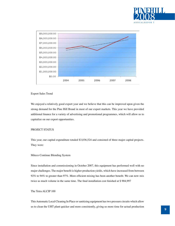



#### Export Sales Trend

We enjoyed a relatively good export year and we believe that this can be improved upon given the strong demand for the Pine Hill Brand in most of our export markets. This year we have provided additional finance for a variety of advertising and promotional programmes, which will allow us to capitalize on our export opportunities.

#### PROJECT STATUS

This year, our capital expenditure totaled \$3,036,524 and consisted of three major capital projects. They were:

#### Miteco Continue Blending System

Since installation and commissioning in October 2007, this equipment has performed well with no major challenges. The major benefit is higher production yields, which have increased from between 92% to 94% to greater than 97%. More efficient mixing has been another benefit. We can now mix twice as much volume in the same time. The final installation cost finished at \$ 904,997

The Tetra ALCIP 100

This Automatic Local Cleaning In Place or sanitizing equipment has two pressure circuits which allow us to clean the UHT plant quicker and more consistently, giving us more time for actual production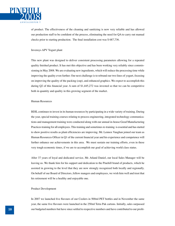

of product. The effectiveness of the cleaning and sanitizing is now very reliable and has allowed our production staff to be confident of the process, eliminating the need for QA to carry out manual checks prior to starting production. The final installation cost was \$ 687,736.

Invensys APV Yogurt plant

This new plant was designed to deliver consistent processing parameters allowing for a repeated quality finished product. It has met this objective and has been working very reliably since commissioning in May 2008. We are evaluating new ingredients, which will reduce the processing time while improving the quality even further. Our next challenge is to rebrand our two lines of yogurt, focusing on improving the quality of the packing (cup), and enhanced graphics. We expect to accomplish this during Q2 of this financial year. A sum of \$1,445,272 was invested so that we can be competitive both in quantity and quality in this growing segment of the market.

#### Human Resources

BDIL continues to invest in its human resources by participating in a wide variety of training. During the year, special training courses relating to process engineering, integrated technology communications and management training were conducted along with our annual in-house Good Manufacturing Practices training for all employees. This training and sometimes re-training is essential and has started to show positive results as plant efficiencies are improving. Mr. Lennox Vaughan joined our team as Human Resources Officer in Q1 of the current financial year and his experience and competence will further enhance our achievements in this area. We must sustain our training efforts, even in these very tough economic times, if we are to accomplish our goal of achieving world class status.

After 37 years of loyal and dedicated service, Mr. Atland Daniel, our local Sales Manager will be leaving us. We thank him for his support and dedication to the Pinehill brand of products, which he assisted in growing to the level that they are now strongly recognized both locally and regionally. On behalf of our Board of Directors, fellow mangers and employees, we wish him well and trust that his retirement will be a healthy and enjoyable one.

#### Product Development

In 2007 we launched five flavours of our Coolers in 500ml PET bottles and in November the same year, the same five flavours were launched in the 250ml Tetra Pak cartons. Initially, sales surpassed 10 our budgeted numbers but have since settled to respective numbers and have contributed to our profit-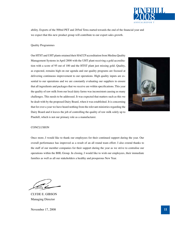

ability. Exports of the 500ml PET and 205ml Tetra started towards the end of the financial year and we expect that this new product group will contribute to our export sales growth.

#### Quality Programmes

Our HTST and UHT plants retained their HACCP accreditation from Medina Quality Management Systems in April 2008 with the UHT plant receiving a gold accreditation with a score of 95 out of 100 and the HTST plant just missing gold. Quality, as expected, remains high on our agenda and our quality programs are focused at delivering continuous improvement to our operations. High quality inputs are essential to our operations and we are constantly evaluating our suppliers to ensure that all ingredients and packages that we receive are within specifications. This year the quality of raw milk from our local dairy farms was inconsistent causing us many challenges. This needs to be addressed. It was expected that matters such as this we be dealt with by the proposed Dairy Board, when it was established. It is concerning that for over a year we have heard nothing from the relevant ministries regarding the Dairy Board and it leaves the job of controlling the quality of raw milk solely up to Pinehill, which is not our primary role as a manufacturer.



#### **CONCLUSION**

Once more, I would like to thank our employees for their continued support during the year. Our overall performance has improved as a result of an all round team effort. I also extend thanks to the staff of our member companies for their support during the year as we strive to centralise our operations within the BHL Group. In closing, I would like to wish our employees, their immediate families as well as all our stakeholders a healthy and prosperous New Year.

CLYDE E. GIBSON Managing Director

November 17, 2008 **11**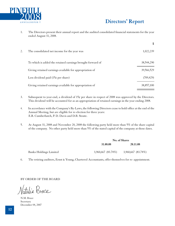

# **Directors' Report**

1. The Directors present their annual report and the audited consolidated financial statements for the year ended August 31, 2008.

| 2. | The consolidated net income for the year was               | 1,022,239  |
|----|------------------------------------------------------------|------------|
|    | To which is added the retained earnings brought forward of | 38,544,290 |
|    | Giving retained earnings available for appropriation of    | 39,566,529 |
|    | Less dividend paid (15¢ per share)                         | (709, 429) |
|    | Giving retained earnings available for appropriation of    | 38,857,100 |

- 3. Subsequent to year-end, a dividend of  $15¢$  per share in respect of 2008 was approved by the Directors. This dividend will be accounted for as an appropriation of retained earnings in the year ending 2008.
- 4. In accordance with the Company's By-Laws, the following Directors cease to hold office at the end of the Annual Meeting, but are eligible for re-election for three years: E.R. Cumberbatch, P. D. Davis and D.B. Stoute.
- 5. At August 31, 2008 and November 20, 2008 the following party held more than 5% of the share capital of the company. No other party held more than 5% of the stated capital of the company at those dates.

|                        | No. of Shares      |                    |
|------------------------|--------------------|--------------------|
|                        | 31.08.08           | 20.11.08           |
| Banks Holdings Limited | 3,960,667 (83.74%) | 3,960,667 (83.74%) |

6. The retiring auditors, Ernst & Young, Chartered Accountants, offer themselves for re- appointment.

BY ORDER OF THE BOARD

ie Brace

N.M. Brace Secretary December 04, 2007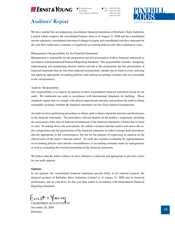

Worthing Centre Worthing, Christ Church, Barbados. Tel: (246) 430-3900 Fax: (246) 426-9551 (246) 429-6446 (246) 435-2079



# **Auditors' Report**

We have audited the accompanying consolidated financial statements of Barbados Dairy Industries Limited which comprise the consolidated balance sheet as of August 31, 2008 and the consolidated income statement, consolidated statement of changes in equity and consolidated cash flow statement for the year then ended and a summary of significant accounting policies and other explanatory notes.

# Management's Responsibility for the Financial Statements

Management is responsible for the preparation and fair presentation of these financial statements in accordance with International Financial Reporting Standards. This responsibility includes: designing, implementing and maintaining internal control relevant to the preparation and fair presentation of financial statements that are free from material misstatement, whether due to fraud or error; selecting and applying appropriate accounting policies; and making accounting estimates that are reasonable in the circumstances.

#### Auditors' Responsibility

Our responsibility is to express an opinion on these consolidated financial statements based on our audit. We conducted our audit in accordance with International Standards on Auditing. Those standards require that we comply with ethical requirements and plan and perform the audit to obtain reasonable assurance whether the financial statements are free from material misstatement.

An audit involves performing procedures to obtain audit evidence about the amounts and disclosures in the financial statements. The procedures selected depend on the auditor's judgement, including the assessment of the risks of material misstatement of the financial statements, whether due to fraud or error. In making those risk assessments, the auditor considers internal control relevant to the entity's preparation and fair presentation of the financial statements in order to design audit procedures that are appropriate in the circumstances, but not for the purpose of expressing an opinion on the effectiveness of the entity's internal control. An audit also includes evaluating the appropriateness of accounting policies used and the reasonableness of accounting estimates made by management, as well as evaluating the overall presentation of the financial statements.

We believe that the audit evidence we have obtained is sufficient and appropriate to provide a basis for our audit opinion.

#### **Opinion**

In our opinion, the consolidated financial statements present fairly, in all material respects, the financial position of Barbados Dairy Industries Limited as of August 31, 2008 and its financial performance and its cash flows for the year then ended in accordance with International Financial Reporting Standards.

 $Ernst + Young$ CHARTERED ACCOUNTANTS

November 20, 2008 Barbados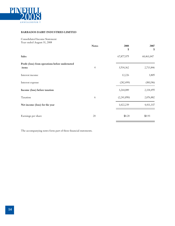

Consolidated Income Statement Year ended August 31, 2008

|                                                 | <b>Notes</b>   | 2008<br>\$  | 2007<br>\$ |
|-------------------------------------------------|----------------|-------------|------------|
| <b>Sales</b>                                    |                | 67,877,975  | 60,461,047 |
| Profit (loss) from operations before undernoted |                |             |            |
| items                                           | $\overline{4}$ | 3,534,362   | 2,713,846  |
| Interest income                                 |                | 12,226      | 3,805      |
| Interest expense                                |                | (282, 499)  | (383, 196) |
| Income (loss) before taxation                   |                | 3,264,089   | 2,334,455  |
| Taxation                                        | 6              | (2,241,850) | 2,076,882  |
| Net income (loss) for the year                  |                | 1,022,239   | 4,411,337  |
| Earnings per share                              | 20             | \$0.20      | \$0.93     |

The accompanying notes form part of these financial statements.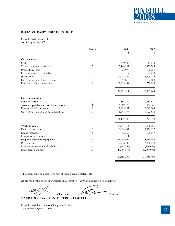

Consolidated Balance Sheet As of August 31, 2007

|                                          | <b>Notes</b> | 2008        | 2007        |
|------------------------------------------|--------------|-------------|-------------|
|                                          |              |             | \$          |
| <b>Current assets</b>                    |              |             |             |
| Cash                                     |              | 840,508     | 154,048     |
| Trade and other receivables              | 5            | 5,164,567   | 6,850,745   |
| Prepaid expenses                         |              | 76,997      | 100,083     |
| Corporation tax refundable               |              |             | 22,729      |
| Inventories                              | 7            | 15,412,587  | 12,928,585  |
| Current portion of loans receivable      | 8            | 57,818      | 87,189      |
| Due from related companies               | 9            | 2,839,334   | 758,084     |
|                                          |              | 24,391,811  | 20,901,463  |
| <b>Current liabilities</b>               |              |             |             |
| Bank overdraft                           | 10           | 367,276     | 1,987,871   |
| Accounts payable and accrued expenses    | 11           | 6,589,275   | 6,047,361   |
| Due to related companies                 | 9            | 2,899,567   | 2,042,308   |
| Current portion of long-term liabilities | 12           | 1,291,378   | 1,197,838   |
|                                          |              | 11,147,496  | 11,275,378  |
| Working capital                          |              | 13,244,315  | 9,626,085   |
| Deferred taxation                        | 6            | 3,614,847   | 5,856,697   |
| Loans receivable                         | 8            | 42,360      | 100,149     |
| Long-term investments                    | 13           |             | -1          |
| Property, plant and equipment            | 14           | 23,704,992  | 24,334,949  |
| Pension plan                             | 15           | 2,716,202   | 2,026,274   |
| Post-retirement medical liability        | 16           | (407,597)   | (336, 669)  |
| Long-term liabilities                    | 12           | (3,051,816) | (2,056,992) |
|                                          |              | 39,863,304  | 39,550,494  |

The accompanying notes form part of these financial statements.

Approved by the Board of Directors on December 4, 2007 and signed on its behalf by:

*4*09,

.........................................................Chairman .........................................................Director

**BARBADOS DAIRY INDUSTRIES LIMITED**

Consolidated Statement of Changes in Equity Year ended August 31, 2007 **15**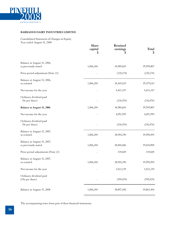

Consolidated Statement of Changes in Equity Year ended August 31, 2008

|                                                     | Share<br>capital<br>\$ | Retained<br>earnings | Total<br>\$ |
|-----------------------------------------------------|------------------------|----------------------|-------------|
| Balance at August 31, 2006,<br>as previously stated | 1,006,204              | 34,589,603           | 35,595,807  |
| Prior period adjustment (Note 22)                   |                        | (220, 174)           | (220, 174)  |
| Balance at August 31, 2006,<br>as restated          | 1,006,204              | 34,369,429           | 35,375,633  |
| Net income for the year                             |                        | 4,411,337            | 4,411,337   |
| Ordinary dividend paid<br>$(5¢$ per share)          |                        | (236, 476)           | (236, 476)  |
| Balance at August 31, 2006                          | 1,006,204              | 34,589,603           | 35,595,807  |
| Net income for the year                             |                        | 4,051,559            | 4,051,559   |
| Ordinary dividend paid<br>$(5¢$ per share)          |                        | (236, 476)           | (236, 476)  |
| Balance at August 31, 2007,<br>as restated          | 1,006,204              | 38,544,290           | 39,550,494  |
| Balance at August 31, 2007,<br>as previously stated | 1,006,204              | 38,404,686           | 39,410,890  |
| Prior period adjustments (Note 22)                  |                        | 139,604              | 139,604     |
| Balance at August 31, 2007,<br>as restated          | 1,006,204              | 38,544,290           | 39,550,494  |
| Net income for the year                             |                        | 1,022,239            | 1,022,239   |
| Ordinary dividend paid<br>$(15¢$ per share)         |                        | (709, 429)           | (709, 429)  |
| Balance at August 31, 2008                          | 1,006,204              | 38,857,100           | 39,863,304  |

The accompanying notes form part of these financial statements.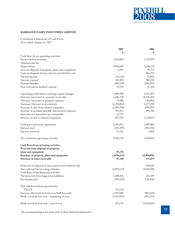

Consolidated Statement of Cash Flows Year ended August 31, 2007

|                                                         | 2007        | 2006        |
|---------------------------------------------------------|-------------|-------------|
|                                                         |             | \$          |
| Cash flows from operating activities                    |             |             |
| Income before taxation                                  | 3,264,089   | 2,334,455   |
| Adjustments for:                                        |             |             |
| Depreciation                                            | 3,564,689   | 3,264,724   |
| Loss on disposal of property, plant and equipment       | 6,547       | 35,771      |
| Gain on disposal of non-current asset held for sale     |             | (86, 153)   |
| Interest income                                         | (12,226)    | (3,805)     |
| Interest expense                                        | 282,499     | 383,196     |
| Pension benefits                                        | (689, 928)  | (549, 412)  |
| Post-retirement medical expense                         | 70,928      | 43,103      |
| Operating profit before working capital changes         | 6,486,598   | 5,421,879   |
| Decrease (increase) in accounts receivable              | 1,686,178   | (4,330,157) |
| Decrease (increase) in prepaid expenses                 | 23,086      | (40,083)    |
| (Increase) decrease in inventories                      | (2,484,002) | 1,077,450   |
| Increase in due from related companies                  | (2,081,250) | (251,352)   |
| Increase in accounts payable and accrued expenses       | 541,914     | 851,706     |
| Decrease in corporation tax refundable                  | 22,729      |             |
| Increase in due to related companies                    | 857,259     | 1,128,417   |
| Cash generated from operations                          | 5,052,512   | 3,857,860   |
| Interest paid                                           | (282, 499)  | (383, 196)  |
| Interest received                                       | 12,226      | 3,805       |
| Net cash from operating activities                      | 4,782,239   | 3,478,469   |
| Cash flows from investing activities                    |             |             |
| Proceeds from disposal of property,                     |             |             |
| plant and equipment                                     | 95,245      |             |
| Purchase of property, plant and equipment               | (3,036,524) | (5,388,070) |
| Decrease in loans receivable                            | 87,160      | 133,675     |
| Proceeds on disposal of non-current asset held for sale |             | 509,687     |
| Net cash used in investing activities                   | (2,854,119) | (4,744,708) |
| Cash flows from financing activities                    |             |             |
| Net proceeds from long-term liabilities                 | 1,088,364   | 611,105     |
| Dividends paid                                          | (709, 429)  | (236, 476)  |
| Net cash from financing activities                      |             |             |
| 378,935                                                 | 374,629     |             |
| Increase (decrease) in bank overdraft less cash         | 2,307,055   | (891,610)   |
| Bank overdraft less cash - beginning of year            | (1,833,823) | (942, 213)  |
| Bank overdraft less cash - end of year                  | 473,232     | (1,833,823) |
|                                                         |             |             |

The accompanying notes form part of these financial statements.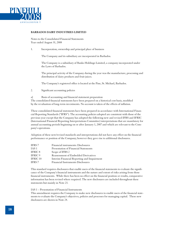

Notes to the Consolidated Financial Statements Year ended August 31, 2008

1. Incorporation, ownership and principal place of business

The Company and its subsidiary are incorporated in Barbados.

The Company is a subsidiary of Banks Holdings Limited, a company incorporated under the Laws of Barbados.

The principal activity of the Company during the year was the manufacture, processing and distribution of dairy products and fruit juices.

The Company's registered office is located at the Pine, St. Michael, Barbados.

- 2. Significant accounting policies
- a] Basis of accounting and financial statement preparation

The consolidated financial statements have been prepared on a historical cost basis, modified by the revaluation of long-term investments. No account is taken of the effects of inflation.

These consolidated financial statements have been prepared in accordance with International Financial Reporting Standards ("IFRS"). The accounting policies adopted are consistent with those of the previous year except that the Company has adopted the following new and revised IFRS and IFRIC (International Financial Reporting Interpretations Committee) interpretations that are mandatory for annual accounting periods beginning on or after January 1, 2007 and which are relevant to the Company's operations.

Adoption of these new/revised standards and interpretations did not have any effect on the financial performance or position of the Company; however they gave rise to additional disclosures.

| IFRS 7             | Financial instruments: Disclosures          |
|--------------------|---------------------------------------------|
| IAS <sub>1</sub>   | Presentation of Financial Statements        |
| IFRIC <sub>8</sub> | Scope of IFRS 2                             |
| IFRIC <sub>9</sub> | <b>Reassessment of Embedded Derivatives</b> |
| <b>IFRIC 10</b>    | Interim Financial Reporting and Impairment  |
| IFRS 7             | <b>Financial Instruments Disclosures</b>    |

This standard requires disclosures that enable users of the financial statements to evaluate the significance of the Company's financial instruments and the nature and extent of risks arising from those financial instruments. While there has been no effect on the financial position or results, comparative information has been revised where required. The new disclosures are included throughout these statements but mainly in Note 23.

#### IAS 1 – Presentation of Financial Instruments

This amendment requires the Company to make new disclosures to enable users of the financial statements to evaluate the Company's objectives, policies and processes for managing capital. These new disclosures are shown in Note 24.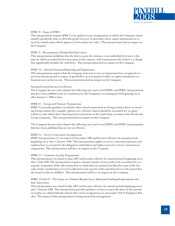

#### IFRIC 8 – Scope of IFRS 2

This interpretation requires IFRS 2 to be applied to any arrangements in which the Company cannot identify specifically some or all of the goods received, in particular where equity instruments are issued for consideration which appears to be less than fair value. This interpretation had no impact on the Company.

#### IFRIC 9 – Reassessment of Embedded Derivatives

This interpretation establishes that the date to assess the existence of an embedded derivative is the date on which an entity first becomes party to the contract, with reassessment only if there is a change that significantly modifies the cash flows. This interpretation had no impact on the Company.

#### IFRIC 10 – Interim Financial Reporting and Impairment

This interpretation requires that the Company must not reverse an impairment loss recognized in a previous interim period in respect of goodwill or an investment in either an equity instrument or a financial asset carried at cost. This interpretation had no impact on the Company.

#### Standards issued but not yet effective

The Company has not early adopted the following new and revised IFRS's and IFRIC interpretations that have been published and are mandatory for the Company's accounting period beginning on or after January 1, 2008 or later.

#### IFRIC11 – Group and Treasury Transactions

IFRIC 11 provides guidance on whether share-based transactions involving treasury shares or involving Group entities (for example, options over a Parent's shares) should be accounted for as equitysettled or cash-settled share-based payment transactions in the stand-alone accounts of the Parent and Group companies. This interpretation had no impact on the Company.

The Company has not early adopted the following new and revised IFRS's and IFRIC interpretations that have been published but are not yet effective.

#### IFRIC 12 – Service Concession Arrangements

IFRIC Interpretations 12 was issued in November 2006 and becomes effective for annual periods beginning on or after 1 January 2008. This interpretation applies to service concession operators and explains how to account for the obligations undertaken and rights received in service concession arrangements. This interpretation will have no impact on the Company.

#### IFRIC 13 – Customer Loyalty Programmes

This interpretation was issued in June 2007 and becomes effective for annual periods beginning on or after 1 July 2008. The interpretation requires customer loyalty award credits to be accounted for as a separate component of the sales transaction in which they are granted and therefore part of the fair value of the consideration received is allocated to the award credits and deferred over the period that the award credits are fulfilled. This interpretation will have no impact on the Company.

#### IFRIC 14 IAS 19 – The Limit on a Defined Benefit Asset, Minimum Funding Requirements and their Interaction

This interpretation was issued in July 2007 and becomes effective for annual periods beginning on or after 1 January 2008. This interpretation provides guidance on how to assess the limit on the amount of surplus in a defined benefit scheme that can be recognized as an asset under IAS 19 Employee Benefits. The impact of this interpretation is being assessed by management.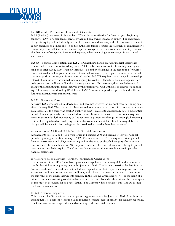

#### IAS 1(Revised) – Presentation of Financial Statements

IAS 1 (Revised) was issued in September 2007 and becomes effective for financial years beginning January 1, 2009. The standard separates owner and non-owner changes in equity. The statement of changes in equity will include only details of transactions with owners, with all non-owner changes in equity presented as a single line. In addition, the Standard introduces the statement of comprehensive income: it presents all items if income and expenses recognized in the income statement together with all other items of recognized income and expense, either in one single statement, or in two linked statements.

IAS 3R – Business Combinations and IAS 27R Consolidated and Separate Financial Statements The revised standards were issued in January 2008 and become effective for financial years beginning on or after July 1, 2009. IFRS 3R introduces a number of changes in the accounting for business combinations that will impact the amount of goodwill recognized, the reported results in the period that an acquisition occurs, and future reported results. IAS 27R requires that a change in ownership interest of a subsidiary is accounted for as an equity transaction. Therefore, such a change will have no impact on goodwill, nor will it give rise to a gain or loss. Furthermore, the amended standard changes the accounting for losses incurred by the subsidiary as well as the loss of control of a subsidiary. The changes introduced by IFRS 3R and IAS 27R must be applied prospectively and will affect future transactions with minority interests.

#### IAS 23 – Borrowing Costs

A revised IAS 23 was issued in March 2007, and becomes effective for financial years beginning on or after 1 January 2009. The standard has been revised to require capitalization of borrowing costs when such costs relate to a qualifying asset. A qualifying asset is an asset that necessarily takes a substantial period of time to get ready for its intended use or sale. In accordance with the transitional requirements in the standard, the Company will adopt this as a prospective change. Accordingly, borrowing costs will be capitalized on qualifying assets with a commencement date after 1 January 2009. No changes will be made for borrowing costs incurred to this date that have been expensed.

#### Amendments to IAS 32 and IAS 1- Puttable Financial Instruments

Amendments to IAS 32 and IAS 1 were issued in February 2008 and become effective for annual periods beginning on or after January 1, 2009. The amendment to IAS 32 requires certain puttable financial instruments and obligations arising on liquidation to be classified as equity if certain criteria's are met. The amendment to IAS 1 requires disclosure of certain information relating to puttable instruments classified as equity. The Company does not expect these amendments to impact the financial statements.

#### IFRS 2 Share-Based Payments – Vesting Conditions and Cancellations

This amendment to IFRS 2 Share-based payments was published in January 2008 and becomes effective for financial years beginning on or after January 1, 2009. The Standard restricts the definition of "vesting condition" to a condition that includes an explicit or implicit requirement to provide services. Any other conditions are non-vesting conditions, which have to be taken into account to determine the fair value of the equity instruments granted. In the case the award does not vest as the result of a failure to meet a non-vesting condition that is within the control of either the entity or the counterparty, this must be accounted for as a cancellation. The Company does not expect this standard to impact the financial statements.

#### IFRS 8 – Operating Segments

This standard is effective for accounting period beginning on or after January 1, 2009. It replaces the existing IAS 14: "Segment Reporting", and requires a "management approach" for segment reporting. The Company does not expect this standard to impact the financial statements.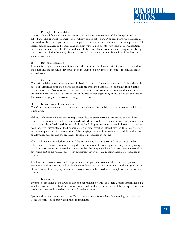

## b] Principles of consolidation

The consolidated financial statements comprise the financial statements of the Company and its subsidiary. The financial statements of its wholly-owned subsidiary, Pine Hill Marketing Limited are prepared for the same reporting year as the parent company, using consistent accounting policies. All intercompany balances and transactions, including unrealized profits from intra-group transactions have been eliminated in full. The subsidiary is fully consolidated from the date of acquisition, being the date on which the Company obtains control and continue to be consolidated until the date that such control ceases.

#### c] Revenue recognition

Revenue is recognized when the significant risks and rewards of ownership of goods have passed to the buyer and the amount of revenue can be measured reliably. Interest income is recognized on an accrual basis.

#### d] Currency

These financial statements are expressed in Barbados dollars. Monetary assets and liabilities denominated in currencies other than Barbados dollars are translated at the rate of exchange ruling at the balance sheet date. Non-monetary assets and liabilities and transactions denominated in currencies other than Barbados dollars are translated at the rate of exchange ruling at the date of the transaction. Foreign exchange gains or losses are charged to income.

#### e] Impairment of financial assets

The Company assesses at each balance sheet date whether a financial asset or group of financial assets is impaired.

If there is objective evidence that an impairment loss on assets carried at amortized cost has been incurred, the amount of the loss is measured as the difference between the asset's carrying amount and the present value of estimated future cash flows (excluding future expected credit losses that have not been incurred) discounted at the financial asset's original effective interest rate (i.e. the effective interest rate computed at initial recognition). The carrying amount of the asset is reduced through use of an allowance account and the amount of the loss is recognized in income.

If, in a subsequent period, the amount of the impairment loss decreases and the decrease can be related objectively to an event occurring after the impairment was recognized, the previously recognized impairment loss is reversed, to the extent that the carrying value of the asset does not exceed its amortized cost at the reversal date. Any subsequent reversal of an impairment loss is recognized in income.

In relation to loans and receivables, a provision for impairment is made when there is objective evidence that the Company will not be able to collect all of the amounts due under the original terms of the invoice. The carrying amount of loans and receivables is reduced through use of an allowance account.

#### f] Inventories

Inventories are stated at the lower of cost and net realizable value. In general, cost is determined on a weighted average basis. In the case of manufactured products, cost includes all direct expenditure and production overheads based on the normal level of activity.

Spares and supplies are valued at cost. Provisions are made for obsolete, slow moving and defective items as considered appropriate in the circumstances.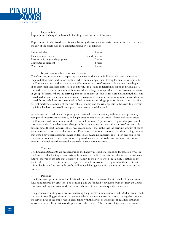

#### g] Depreciation Depreciation is charged on leasehold buildings over the term of the lease.

Depreciation of other fixed assets is made by using the straight-line basis at rates sufficient to write off the cost of the assets over their estimated useful lives as follows:

| Motor vehicles                    |                          | 5 years            |
|-----------------------------------|--------------------------|--------------------|
| Plant and machinery               |                          | $-10$ and 15 years |
| Furniture, fittings and equipment | $\overline{\phantom{a}}$ | 10 years           |
| Computer equipment                |                          | 4 years            |
| Containers                        |                          | 5 years            |

#### h] Impairment of other non-financial assets

The Company assesses at each reporting date whether there is an indication that an asset may be impaired. If any such indication exists, or when annual impairment testing for an asset is required, the Company estimates the asset's recoverable amount. An asset's recoverable amount is the higher of an asset's fair value less costs to sell and its value in use and is determined for an individual asset, unless the asset does not generate cash inflows that are largely independent of those from other assets or groups of assets. Where the carrying amount of an asset exceeds its recoverable amount, the asset is considered impaired and is written down to its recoverable amount. In assessing value in use, the estimated future cash flows are discounted to their present value using a pre-tax discount rate that reflects current market assessments of the time value of money and the risks specific to the asset. In determining fair value less costs to sell, an appropriate valuation model is used.

An assessment is made at each reporting date as to whether there is any indication that previously recognized impairment losses may no longer exist or may have decreased, If such indication exists, the Company makes an estimate of the recoverable amount. A previously recognized impairment loss is reversed only if there has been a change in the estimates used to determine the asset's recoverable amount since the last impairment loss was recognized. If that is the case the carrying amount of the asset is increased to its recoverable amount. That increased amount cannot exceed the carrying amount that would have been determined, net of depreciation, had no impairment loss been recognized for the asset in prior years. Such reversal is recognized in income unless the asset is carried at revalued amount, in which case the reversal is treated as a revaluation increase.

# i] Taxation

The financial statements are prepared using the liability method of accounting for taxation whereby the future taxable liability or asset arising from temporary differences is provided for at the estimated future corporation tax rate that is expected to apply to the period when the liability is settled or the asset realized. Deferred tax assets in respect of unused tax losses are recognized to the extent that it is probable that future taxable profits will be available against which the unused tax losses can be utilized.

#### j] Pensions

The Company operates a number of defined benefit plans, the assets of which are held in a separate fund administered by Trustees. The pension plans are funded by payments from the relevant Group companies taking into account the recommendations of independent qualified actuaries.

The pension accounting costs are accrued using the projected unit credit method. Under this method, the cost of providing pensions is charged to the income statement so as to spread the regular cost over the service lives of the employees in accordance with the advice of independent qualified actuaries who carry out a full valuation of the plans every three years. The pension obligation is measured as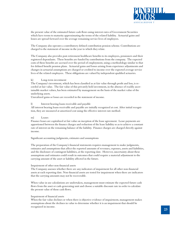

the present value of the estimated future cash flows using interest rates of Government Securities which have terms to maturity approximating the terms of the related liability. Actuarial gains and losses are spread forward over the average remaining service lives of employees.

The Company also operates a contributory defined contribution pension scheme. Contributions are charged to the statement of income in the year to which they relate.

The Company also provides post-retirement healthcare benefits to its employees, pensioners and their registered dependants. These benefits are funded by contributions from the company. The expected costs of these benefits are accrued over the period of employment, using a methodology similar to that for defined benefit pension plans. Actuarial gains and losses arising from experience adjustments and changes in actuarial assumptions are charged or credited to income over the expected average service lives of the related employees. These obligations are valued by independent qualified actuaries.

#### k] Long-term investment

The Company's investment, which has been classified as at fair value through profit and loss, is recorded at fair value. The fair value of this privately held investment, in the absence of readily ascertainable market values, has been estimated by management on the basis of the market value of the underlying assets.

Unrealized gains or losses are recorded in the statement of income.

#### l] Interest bearing loans receivable and payable

All interest bearing loans receivable and payable are initially recognized at cost. After initial recognition, they are measured at amortized cost using the effective interest rate method.

#### m] Leases

Finance leases are capitalized at fair value on inception of the lease agreement. Lease payments are apportioned between the finance charges and reduction of the lease liability so as to achieve a constant rate of interest on the remaining balance of the liability. Finance charges are charged directly against income.

#### Significant accounting judgments, estimates and assumptions

The preparation of the Company's financial statements requires management to make judgments, estimates and assumptions that affect the reported amounts of revenues, expenses, assets and liabilities, and the disclosure of contingent liabilities, at the reporting date. However, uncertainty about these assumptions and estimates could result in outcomes that could require a material adjustment to the carrying amount of the asset or liability affected in the future.

#### Impairment of other non-financial assets

The Company assesses whether there are any indicators of impairment for all other non-financial assets at each reporting date. Non-financial assets are tested for impairment when there are indicators that the carrying amounts may not be recoverable.

When value in use calculations are undertaken, management must estimate the expected future cash flows from the asset or cash-generating unit and choose a suitable discount rate in order to calculate the present value of those cash flows.

#### Impairment of financial assets

When the fair value declines or when there is objective evidence of impairment, management makes assumptions about the declines in value to determine whether it is an impairment that should be recognized in income.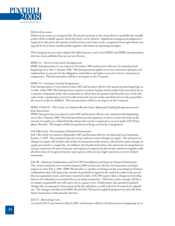

#### Deferred tax assets

Deferred tax assets are recognized for all unused tax losses to the extent that it is probable that taxable profit will be available against which the losses can be utilized. Significant management judgment is required to determine the amount of deferred tax assets that can be recognized, based upon likely timing and level of future taxable profits together with future tax planning strategies.

The Company has not early adopted the following new and revised IFRS's and IFRIC interpretations that have been published but are not yet effective.

#### IFRIC 12 – Service Concession Arrangements

IFRIC Interpretations 12 was issued in November 2006 and becomes effective for annual periods beginning on or after 1 January 2008. This Interpretation applies to service concession operators and explains how to account for the obligations undertaken and rights received in service concession arrangements. This interpretation will have no impact on the Company.

#### IFRIC 13 – Customer Loyalty Programmes

This Interpretation 13 was issued in June 2007 and becomes effective for annual periods beginning on or after 1 July 2008. The Interpretation requires customer loyalty award credits to be accounted for as a separate component of the sales transaction in which they are granted and therefore part of the fair value of the consideration received is allocated to the award credits and deferred over the period that the award credits are fulfilled. This interpretation will have no impact on the Company.

#### IFRIC 14 IAS 19 – The Limit on a Defined Benefit Asset, Minimum Funding Requirements and their Interaction

IFRIC Interpretation was issued in July 2007 and becomes effective for annual periods beginning on or after 1 January 2008. This Interpretation provides guidance on how to assess the limit on the amount of surplus in a defined benefit scheme that can be recognized as an asset under IAS 19 Employee Benefits. The impact of this interpretation is being assessed by management.

#### IAS 1(Revised) – Presentation of Financial Statements

IAS 1 (Revised) was issued in September 2007 and becomes effective for financial years beginning January 1, 2009. The standard separates owner and non-owner changes in equity. The statement of changes in equity will include only details of transactions with owners, with all non-owner changes in equity presented as a single line. In addition, the Standard introduces the statement of comprehensive income: it presents all items if income and expenses recognized in the income statement together with all other items of recognized income and expense, either in one single statement, or in two linked statements.

IAS 3R – Business Combinations and IAS 27R Consolidated and Separate Financial Statements The revised standards were issued in January 2008 and become effective for financial years beginning on or after July 1, 2009. IFRS 3R introduces a number of changes in the accounting for business combinations that will impact the amount of goodwill recognized, the reported results in the period that an acquisition occurs, and future reported results. IAS 27R requires that a change in ownership interest of a subsidiary is accounted for as an equity transaction. Therefore, such a change will have no impact on goodwill, nor will it give rise to a gain or loss. Furthermore, the amended standard changes the accounting for losses incurred by the subsidiary as well as the loss of control of a subsidiary. The changes introduced by IFRS 3R and IAS 27R must be applied prospectively and will affect future transactions with minority interests.

#### IAS 23 – Borrowing Costs

A revised IAS 23 was issued in March 2007, and becomes effective for financial years beginning on or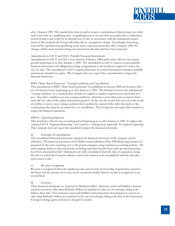

after 1 January 2009. The standard has been revised to require capitalization of borrowing costs when such costs relate to a qualifying asset. A qualifying asset is an asset that necessarily takes a substantial period of time to get ready for its intended use or sale. In accordance with the transitional requirements in the standard, the Group will adopt this as a prospective change. Accordingly, borrowing costs will be capitalized on qualifying assets with a commencement date after 1 January 2009. No changes will be made for borrowing costs incurred to this date that have been expensed.

#### Amendments to IAS 32 and IAS 1- Puttable Financial Instruments

Amendments to IAS 32 and IAS 1 were issued in February 2008 and becomes effective for annual periods beginning on or after January 1, 2009. The amendment to IAS 32 requires certain puttable financial instruments and obligations arising on liquidation to be classified as equity if certain criteria's are met. The amendment to IAS 1 requires disclosure of certain information relating to puttable instruments classified as equity. The Company does not expect these amendments to impact the financial statements.

#### IFRS 2 Share-Based Payments – Vesting Conditions and Cancellations

This amendment to IFRS 2 Share-based payments was published in January 2008 and becomes effective for financial years beginning on or after January 1, 2009. The Standard restricts the definition of "vesting condition" to a condition that includes an explicit or implicit requirement to provided services. Any other conditions are non-vesting conditions, which have to be taken into account to determine the fair value of the equity instruments granted. In the case the award does not vest as the result of a failure to meet a non-vesting condition that is within the control of the either the entity or the counterparty, this must be accounted for as a cancellation. The Group does not expect this standard to impact the financial statements.

#### IFRS 8 – Operating Segments

This standard is effective for accounting period beginning on or after January 1, 2009. It replaces the existing IAS 14: "Segment Reporting", and requires a "management approach" for segment reporting. The Company does not expect this standard to impact the financial statements.

#### b] Principles of consolidation

The consolidated financial statements comprise the financial statements of the company and its subsidiary. The financial statements of its wholly-owned subsidiary, Pine Hill Marketing Limited are prepared for the same reporting year as the parent company, using consistent accounting policies. All intercompany balances and transactions, including unrealized profits from intra-group transactions have been eliminated in full. Subsidiaries are fully consolidated from the date of acquisition, being the date on which the Company obtains control and continue to be consolidated until the date that such control ceases.

#### c] Revenue recognition

Revenue is recognized when the significant risks and rewards of ownership of goods have passed to the buyer and the amount of revenue can be measured reliably. Interest income is recognized on an accrual basis.

#### d] Currency

These financial statements are expressed in Barbados dollars. Monetary assets and liabilities denominated in currencies other than Barbados dollars are translated at the rate of exchange ruling at the balance sheet date. Non-monetary assets and liabilities and transactions denominated in currencies other than Barbados dollars are translated at the rate of exchange ruling at the date of the transaction. Foreign exchange gains or losses are charged to income.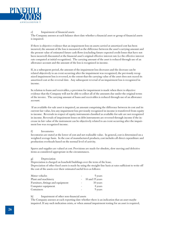

#### e] Impairment of financial assets

The Company assesses at each balance sheet date whether a financial asset or group of financial assets is impaired.

If there is objective evidence that an impairment loss on assets carried at amortized cost has been incurred, the amount of the loss is measured as the difference between the asset's carrying amount and the present value of estimated future cash flows (excluding future expected credit losses that have not been incurred) discounted at the financial asset's original effective interest rate (i.e the effective interest rate computed at initial recognition). The carrying amount of the asset is reduced through use of an allowance account and the amount of the loss is recognized in income.

If, in a subsequent period, the amount of the impairment loss decreases and the decrease can be related objectively to an event occurring after the impairment was recognized, the previously recognized impairment loss is reversed, to the extent that the carrying value of the asset does not exceed its amortized cost at the reversal date. Any subsequent reversal of an impairment loss is recognized in income.

In relation to loans and receivables, a provision for impairment is made when there is objective evidence that the Company will not be able to collect all of the amounts due under the original terms of the invoice. The carrying amount of loans and receivables is reduced through use of an allowance account.

 If an available-for-sale asset is impaired, an amount comprising the difference between its cost and its current fair value, less any impairment loss previously recognized in income is transferred from equity to income. Reversals in respect of equity instruments classified as available-for-sale are not recognized in income. Reversals of impairment losses on debt instruments are reversed through income if the increase in fair value of the instrument can be objectively related to an event occurring after the impairment loss was recognized income.

#### f] Inventories

Inventories are stated at the lower of cost and net realizable value. In general, cost is determined on a weighted average basis. In the case of manufactured products, cost includes all direct expenditure and production overheads based on the normal level of activity.

Spares and supplies are valued at cost. Provisions are made for obsolete, slow moving and defective items as considered appropriate in the circumstances.

#### g] Depreciation

Depreciation is charged on leasehold buildings over the term of the lease.

Depreciation of other fixed assets is made by using the straight-line basis at rates sufficient to write off the cost of the assets over their estimated useful lives as follows:

| Motor vehicles                    | 5 years         |
|-----------------------------------|-----------------|
| Plant and machinery               | 10 and 15 years |
| Furniture, fittings and equipment | 10 years        |
| Computer equipment                | 4 years         |
| Containers                        | 5 years         |

#### h] Impairment of other non-financial assets

The Company assesses at each reporting date whether there is an indication that an asset maybe impaired. If any such indication exists, or when annual impairment testing for an asset is required,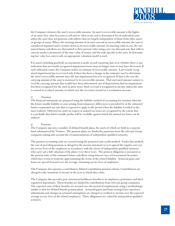

the Company estimates the asset's recoverable amount. An asset's recoverable amount is the higher of an asset's fair value less costs to sell and its value in use and is determined for an individual asset, unless the asset does not generate cash inflows that are largely independent of those from other assets or groups of assets. Where the carrying amount of an asset exceeds its recoverable amount, the asset is considered impaired and is written down to its recoverable amount. In assessing value in use, the estimated future cash flows are discounted to their present value using a pre-tax discount rate that reflects current market assessments of the time value of money and the risks specific to the asset. In determining fair value less costs to sell, an appropriate valuation model is used.

For assets excluding goodwill, an assessment is made at each reporting date as to whether there is any indication that previously recognized impairment losses may no longer exist or may have decreased, If such indication exists, the Company makes an estimate of recoverable amount. A previously recognized impairment loss is reversed only if there has been a change in the estimates used to determine the asset's recoverable amount since the last impairment loss was recognized. If that is the case the carrying amount of the asset is increased to its recoverable amount. That increased amount cannot exceed the carrying amount that would have been determined, net of depreciation, had no impairment loss been recognized for the asset in prior years. Such reversal is recognized in income unless the asset is carried at revalued amount, in which case the reversal is treated as a revaluation increase.

#### i] Taxation

The financial statements are prepared using the liability method of accounting for taxation whereby the future taxable liability or asset arising from temporary differences is provided for at the estimated future corporation tax rate that is expected to apply to the period when the liability is settled or the asset realized. Deferred tax assets in respect of unused tax losses are recognized to the extent that it is probable that future taxable profits will be available against which the unused tax losses can be utilized.

#### j] Pensions

The Company operates a number of defined benefit plans, the assets of which are held in a separate fund administered by Trustees. The pension plans are funded by payments from the relevant Group companies taking into account the recommendations of independent qualified actuaries.

The pension accounting costs are accrued using the projected unit credit method. Under this method, the cost of providing pensions is charged to the income statement so as to spread the regular cost over the service lives of the employees in accordance with the advice of independent qualified actuaries who carry out a full valuation of the plans every three years. The pension obligation is measured as the present value of the estimated future cash flows using interest rates of Government Securities which have terms to maturity approximating the terms of the related liability. Actuarial gains and losses are spread forward over the average remaining service lives of employees.

The Company also operates a contributory defined contribution pension scheme. Contributions are charged to the statement of income in the year to which they relate.

The Company also provides post-retirement healthcare benefits to its employees, pensioners and their registered dependants. These benefits are funded by contributions from relevant group companies. The expected costs of these benefits are accrued over the period of employment, using a methodology similar to that for defined benefit pension plans. Actuarial gains and losses arising from experience adjustments and changes in actuarial assumptions are charged or credited to income over the expected average service lives of the related employees. These obligations are valued by independent qualified actuaries.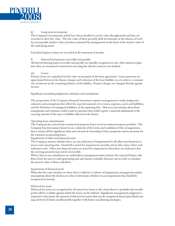

# k] Long-term investments

The Company's investments, which have been classified as at fair value through profit and loss, are recorded at their fair value. The fair value of these privately held investments, in the absence of readily ascertainable market values, has been estimated by management on the basis of the market value of the underlying assets.

Unrealized gains or losses are recorded in the statement of income.

#### l] Interest bearing loans receivable and payable

All interest bearing loans receivable and payable are initially recognized at cost. After initial recognition, they are measured at amortized cost using the effective interest rate method.

#### m] Leases

Finance leases are capitalized at fair value on inception of the lease agreement. Lease payments are apportioned between the finance charges and reduction of the lease liability so as to achieve a constant rate of interest on the remaining balance of the liability. Finance charges are charged directly against income.

Significant accounting judgments, estimates and assumptions

The preparation of the Company's financial statements requires management to make judgments, estimates and assumptions that affect the reported amounts of revenues, expenses, assets and liabilities, and the disclosure of contingent liabilities, at the reporting date. However, uncertainty about these assumptions and estimates could result in outcomes that could require a material adjustment to the carrying amount of the asset or liability affected in the future.

#### Operating lease commitments

The Company has entered into commercial property leases on its investment property portfolio. The Company has determined, based on an evaluation of the terms and conditions of the arrangements, that it retains all the significant risks and rewards of ownership of these properties and so accounts for the contracts as operating leases.

#### Impairment of other non-financial assets

The Company assesses whether there are any indicators of impairment for all other non-financial assets at each reporting date. Goodwill is tested for impairment annually and at other times when such indicators exist. Other non-financial assets are tested for impairment when there are indicators that the carrying amounts may not be recoverable.

When value in use calculations are undertaken, management must estimate the expected future cash flows from the asset or cash-generating unit and choose a suitable discount rate in order to calculate the present value of those cash flows.

#### Impairment of financial assets

When the fair value declines or when there is objective evidence of impairment, management makes assumptions about the declines in value to determine whether it is an impairment that should be recognized in income.

#### Deferred tax assets

Deferred tax assets are recognized for all unused tax losses to the extent that it is probable that taxable profit will be available against which the losses can be utilized. Significant management judgment is required to determine the amount of deferred tax assets that can be recognized, based upon likely timing and level of future taxable profits together with future tax planning strategies.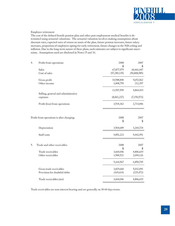

#### Employee retirement

The cost of the defined benefit pension plan and other post employment medical benefits is determined using actuarial valuations. The actuarial valuation involves making assumptions about discount rates, expected rates of return on assets of the plan, future pension increases, future salary increases, proportion of employees opting for early retirement, future changes in the NIS ceiling and inflation. Due to the long-term nature of these plans, such estimates are subject to significant uncertainty. Assumptions used are disclosed in Notes 15 and 16.

| 4. | Profit from operations                    | 2008            | 2007           |
|----|-------------------------------------------|-----------------|----------------|
|    |                                           | \$              | \$             |
|    | Sales                                     | 67,877,975      | 60,461,047     |
|    | Cost of sales                             | (57, 289, 135)  | (50, 808, 985) |
|    | Gross profit                              | 10,588,840      | 9,652,062      |
|    | Other income                              | 1,008,759       | 212,357        |
|    |                                           | 11,597,599      | 9,864,419      |
|    | Selling, general and administrative       |                 |                |
|    | expenses                                  | (8,063,237)     | (7,150,573)    |
|    | Profit (loss) from operations             | 3,534,362       | 2,713,846      |
|    |                                           |                 |                |
|    | Profit from operations is after charging: | 2008            | 2007           |
|    |                                           | \$              | \$             |
|    | Depreciation                              | 3,564,689       | 3,264,724      |
|    | Staff costs                               | 9,851,223       | 9,442,951      |
|    |                                           |                 |                |
| 5. | Trade and other receivables               | 2008            | 2007           |
|    | Trade receivables                         | \$<br>3,664,046 | \$             |
|    | Other receivables                         | 1,500,521       | 4,806,619      |
|    |                                           |                 | 2,044,126      |
|    |                                           | 5,164,567       | 6,850,745      |
|    | Gross trade receivables                   | 3,829,660       | 5,032,091      |
|    | Provision for doubtful debts              | (165, 614)      | (225, 472)     |
|    | Trade receivables (net)                   | 3,664,046       | 4,806,619      |
|    |                                           |                 |                |

Trade receivables are non-interest bearing and are generally on 30-60 days terms.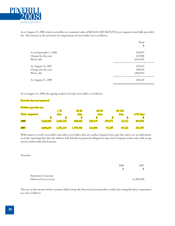

As at August 31, 2008, trade receivables at a nominal value of \$165,614 (2007-\$225,472) were impaired and fully provided for. Movements in the provision for impairment of receivables were as follows:

|                         | Total      |  |
|-------------------------|------------|--|
|                         | \$         |  |
|                         |            |  |
| As at September 1, 2006 | 203,837    |  |
| Charge for the year     | 165,000    |  |
| Write offs              | (143, 365) |  |
|                         |            |  |
| At August 31, 2007      | 225,472    |  |
| Charge for the year     | 148,699    |  |
| Write offs              | (208, 557) |  |
| At August 31, 2008      | 165,614    |  |

As at August 31, 2008, the ageing analysis of trade receivables is as follows:

#### Past due but not impaired

Neither past due nor  $\leq$  30  $\leq$  30-60  $\leq$  60-90  $\leq$  90-120 Total impaired days days days days >120 days  $\textcolor{red}{\bullet}$  \$ \$ \$ \$ \$ \$ **2008** 3,664,046 1,601,725 698,410 260,274 255,971 13,112 834,554 **2007** 4,806,619 2,352,119 1,794,536 222,896 57,285 87,226 292,557

With respect to trade receivables and other receivables, that are neither impaired nor past due, there are no indications as of the reporting date that the debtors will default on payment obligations since the Company trades only with recognized creditworthy third parties.

Taxation

|                       | 2008 | 2007        |
|-----------------------|------|-------------|
|                       | \$.  |             |
| Statement of income   |      |             |
| Deferred tax recovery |      | (1,389,690) |

The tax on the income before taxation differs from the theoretical amount that would arise using the basic corporation tax rate as follows: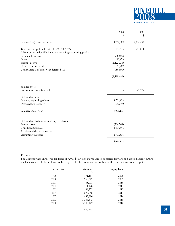

|                                                                 | 2008<br>\$  | 2007<br>\$ |  |
|-----------------------------------------------------------------|-------------|------------|--|
|                                                                 |             |            |  |
| Income (loss) before taxation                                   | 3,264,089   | 2,334,455  |  |
| Taxed at the applicable rate of 15% (2007-25%)                  | 489,613     | 583,614    |  |
| Effects of tax deductible items not reducing accounting profit: |             |            |  |
| Capital allowances                                              | (538, 806)  |            |  |
| Other                                                           | 13,479      |            |  |
| Exempt profits                                                  | (1,422,726) |            |  |
| Group relief surrendered                                        | 23,287      |            |  |
| Under accrual of prior year deferred tax                        | (130, 391)  |            |  |
|                                                                 | (1,389,690) |            |  |
| <b>Balance</b> sheet                                            |             |            |  |
| Corporation tax refundable                                      |             | 22,729     |  |
| Deferred taxation                                               |             |            |  |
| Balance, beginning of year                                      | 3,706,423   |            |  |
| Deferred tax recovery                                           | 1,389,690   |            |  |
| Balance, end of year                                            | 5,096,113   |            |  |
| Deferred tax balance is made up as follows:                     |             |            |  |
| Pension asset                                                   | (506, 569)  |            |  |
| Unutilized tax losses                                           | 2,894,846   |            |  |
| Accelerated depreciation for                                    |             |            |  |
| accounting purposes                                             | 2,707,836   |            |  |
|                                                                 | 5,096,113   |            |  |
|                                                                 |             |            |  |

#### Tax losses

The Company has unrelieved tax losses of (2007-\$11,579,382) available to be carried forward and applied against future taxable income. The losses have not been agreed by the Commissioner of Inland Revenue but are not in dispute.

| Income Year | Amount     | <b>Expiry Date</b> |    |
|-------------|------------|--------------------|----|
|             | \$         |                    |    |
| 1999        | 151,431    | 2008               |    |
| 2000        | 963,575    | 2009               |    |
| 2001        | 48,007     | 2010               |    |
| 2002        | 111,120    | 2011               |    |
| 2003        | 49,755     | 2012               |    |
| 2004        | 672,058    | 2013               |    |
| 2005        | 2,893,916  | 2014               |    |
| 2007        | 3,346,343  | 2015               |    |
| 2008        | 3,343,177  | 2016               |    |
|             | 11,579,382 |                    | 31 |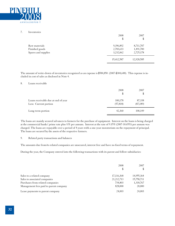

#### 7. Inventories

|                     | 2008<br>\$ | 2007<br>\$ |
|---------------------|------------|------------|
| Raw materials       | 9,396,892  | 8,711,707  |
| Finished goods      | 2,783,633  | 1,491,700  |
| Spares and supplies | 3,232,062  | 2,725,178  |
|                     | 15,412,587 | 12,928,585 |

The amount of write-down of inventories recognized as an expense is \$584,850 (2007-\$304,648). This expense is included in cost of sales as disclosed in Note 4.

#### 8. Loans receivable

|                                     | 2008      | 2007<br>₩ |
|-------------------------------------|-----------|-----------|
| Loans receivable due at end of year | 100,178   | 87,338    |
| Less: Current portion               | (57, 818) | (87, 189) |
| Long-term portion                   | 42,360    | 100,149   |

The loans are mainly secured advances to farmers for the purchase of equipment. Interest on the loans is being charged at the commercial banks' prime rate plus ½% per annum. Interest at the rate of 9.15% (2007-10.65%) per annum was charged. The loans are repayable over a period of 4 years with a one-year moratorium on the repayment of principal. The loans are secured by the assets of the respective farmers.

## 9. Related party transactions and balances

The amounts due from/to related companies are unsecured, interest free and have no fixed terms of repayment.

During the year, the Company entered into the following transactions with its parent and fellow subsidiaries:

|                                        | 2008<br>\$   | 2007       |
|----------------------------------------|--------------|------------|
| Sales to a related company             | 17,116,368   | 14,955,364 |
| Sales to associated companies          | 21, 212, 713 | 15,758,711 |
| Purchases from related companies       | 734,803      | 1,318,767  |
| Management fees paid to parent company | 828,000      | 20,000     |
| Lease payments to parent company       | 24,003       | 24,003     |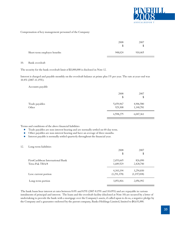

Compensation of key management personnel of the Company:

|                              | 2008    | 2007<br>\$ |
|------------------------------|---------|------------|
| Short-term employee benefits | 948,024 | 910,465    |

#### 10. Bank overdraft

The security for the bank overdraft limit of \$3,000,000 is disclosed in Note 12.

Interest is charged and payable monthly on the overdraft balance at prime plus 1% per year. The rate at year-end was 10.4% (2007-11.15%).

#### Accounts payable

|                         | 2008<br>\$           | 2007<br>\$             |
|-------------------------|----------------------|------------------------|
| Trade payables<br>Other | 5,659,967<br>929,308 | 4,906,580<br>1,140,781 |
|                         | 6,598,275            | 6,047,361              |

Terms and conditions of the above financial liabilities

- Trade payables are non-interest bearing and are normally settled on 60-day term.  $\bullet$
- $\bullet$ Other payables are non-interest bearing and have an average of three months.
- Interest payable is normally settled quarterly throughout the financial year.  $\bullet$

#### 12. Long-term liabilities

|                                   | 2008<br>\$  | 2007<br>\$    |
|-----------------------------------|-------------|---------------|
| FirstCaribbean International Bank | 2,653,665   | 826,090       |
| Tetra Pak TBA/8                   | 1,689,529   | 2,428,740     |
|                                   | 4,343,194   | 3,254,830     |
| Less: current portion             | (1,291,378) | (1, 197, 838) |
| Long-term portion                 | 3,051,816   | 2,056,992     |
|                                   |             |               |

The bank loans bear interest at rates between 8.4% and 8.5% (2007-8.15% and 10.65%) and are repayable in various instalments of principal and interest. The loans and the overdraft facility (disclosed at Note 10) are secured by a letter of undertaking to provide the bank with a mortgage over the Company's assets, if called upon to do so, a negative pledge by the Company and a guarantee endorsed by the parent company, Banks Holdings Limited, limited to \$4,631,000.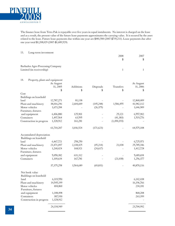

The finance lease from Tetra Pak is repayable over five years in equal instalments. No interest is charged on the lease and as a result, the present value of the future lease payments approximates the carrying value. It is secured by the asset related to the lease. Future lease payments due within one year are \$481,500 (2007-\$739,211). Lease payments due after one year total \$1,208,029 (2007-\$1,689,529).

| 13.<br>Long-term investment                                                                                    |                          |                     |            | 2008<br>\$  | 2007<br>\$               |
|----------------------------------------------------------------------------------------------------------------|--------------------------|---------------------|------------|-------------|--------------------------|
| Barbados Agro Processing Company<br>Limited (in receivership)                                                  |                          |                     |            | 1           | 1                        |
|                                                                                                                |                          |                     |            |             |                          |
| 14.<br>Property, plant and equipment                                                                           |                          |                     |            |             |                          |
|                                                                                                                | At August                |                     |            |             | At August                |
|                                                                                                                | 31, 2005                 | Additions           | Disposals  | Transfers   | 31,2006                  |
|                                                                                                                |                          |                     | \$         | \$          | \$                       |
| Cost                                                                                                           |                          |                     |            |             |                          |
| Buildings on leasehold                                                                                         |                          |                     |            |             |                          |
| land<br>Plant and machinery                                                                                    | 12,787,271<br>38,016,296 | 81,138<br>2,604,609 | (145,248)  | 1,506,455   | 12,868,409<br>41,982,112 |
| Motor vehicles                                                                                                 | 1,673,284                |                     | (26,375)   |             | 1,646,909                |
| Furniture, fixtures                                                                                            |                          |                     |            |             |                          |
| and equipment                                                                                                  | 6,406,880                | 125,901             |            | 25,121      | 6,557,902                |
| Containers                                                                                                     | 1,497,564                | 63,595              |            | (41, 383)   | 1,519,776                |
| Construction in progress                                                                                       | 1,328,912                | 161,281             |            | (1,490,193) |                          |
|                                                                                                                |                          |                     |            |             |                          |
|                                                                                                                | 61,710,207               | 3,036,524           | (171, 623) |             | 64,575,108               |
| Accumulated depreciation<br>Buildings on leasehold                                                             |                          |                     |            |             |                          |
| land                                                                                                           | 6,467,721                | 258,250             |            |             | 6,725,971                |
| Plant and machinery                                                                                            | 23,471,097               | 2,338,425           | (45,214)   | 21,038      | 25,785,346               |
| Motor vehicles<br>Furniture, fixtures                                                                          | 1,268,424                | 168,921             | (24, 617)  |             | 1,412,728                |
| and equipment                                                                                                  | 5,058,382                | 631,312             |            |             | 5,689,694                |
| Containers                                                                                                     | 1,109,634                | 167,781             |            | (21,038)    | 1,256,377                |
|                                                                                                                | 37, 375, 258             | 3,564,689           | (69, 831)  |             | 40,870,116               |
| Net book value<br>Buildings on leasehold                                                                       |                          |                     |            |             |                          |
| land and the second second second second second second second second second second second second second second | 6,319,550                |                     |            |             | 6,142,438                |
| Plant and machinery                                                                                            | 14,545,199               |                     |            |             | 16,196,766               |
| Motor vehicles                                                                                                 | 404,860                  |                     |            |             | 234,181                  |
| Furniture, fixtures                                                                                            |                          |                     |            |             |                          |
| and equipment                                                                                                  | 1,348,498                |                     |            |             | 868,208                  |
| Containers                                                                                                     | 387,930                  |                     |            |             | 263,399                  |
| Construction in progress                                                                                       | 1,328,912                |                     |            |             |                          |
|                                                                                                                | 24,334,949               |                     |            |             | 23,704,992               |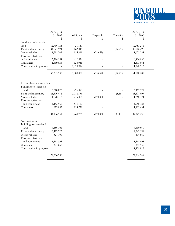

|                          | At August  |           |           |           | At August    |  |
|--------------------------|------------|-----------|-----------|-----------|--------------|--|
|                          | 31,2005    | Additions | Disposals | Transfers | 31,2006      |  |
|                          | \$         |           | \$        |           | \$           |  |
| Buildings on leasehold   |            |           |           |           |              |  |
| land                     | 12,766,124 | 21,147    |           |           | 12,787,271   |  |
| Plant and machinery      | 34,871,994 | 3,162,045 |           | (17, 743) | 38,016,296   |  |
| Motor vehicles           | 1,591,542  | 135,399   | (53,657)  |           | 1,673,284    |  |
| Furniture, fixtures      |            |           |           |           |              |  |
| and equipment            | 5,794,354  | 612,526   |           |           | 6,406,880    |  |
| Containers               | 1,369,523  | 128,041   |           |           | 1,497,564    |  |
| Construction in progress |            | 1,328,912 |           |           | 1,328,912    |  |
|                          | 56,393,537 | 5,388,070 | (53,657)  | (17,743)  | 61,710,207   |  |
| Accumulated depreciation |            |           |           |           |              |  |
| Buildings on leasehold   |            |           |           |           |              |  |
| land                     | 6,210,822  | 256,899   |           |           | 6,467,721    |  |
| Plant and machinery      | 21,396,472 | 2,082,756 |           | (8, 131)  | 23,471,097   |  |
| Motor vehicles           | 1,070,442  | 215,868   | (17, 886) |           | 1,268,424    |  |
| Furniture, fixtures      |            |           |           |           |              |  |
| and equipment            | 4,482,960  | 575,422   |           |           | 5,058,382    |  |
| Containers               | 975,855    | 133,779   |           |           | 1,109,634    |  |
|                          |            |           |           |           |              |  |
|                          | 34,136,551 | 3,264,724 | (17, 886) | (8, 131)  | 37, 375, 258 |  |
| Net book value           |            |           |           |           |              |  |
| Buildings on leasehold   |            |           |           |           |              |  |
| land                     | 6,555,302  |           |           |           | 6,319,550    |  |
| Plant and machinery      | 13,475,522 |           |           |           | 14,545,199   |  |
| Motor vehicles           | 521,100    |           |           |           | 404,860      |  |
| Furniture, fixtures      |            |           |           |           |              |  |
| and equipment            | 1,311,394  |           |           |           | 1,348,498    |  |
| Containers               | 393,668    |           |           |           | 387,930      |  |
| Construction in progress |            |           |           |           | 1,328,912    |  |
|                          | 22,256,986 |           |           |           | 24,334,949   |  |
|                          |            |           |           |           |              |  |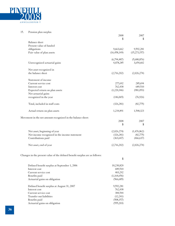

# 15. Pension plan surplus

|                                                                             | 2008<br>\$     | 2007           |
|-----------------------------------------------------------------------------|----------------|----------------|
| <b>Balance</b> sheet                                                        |                |                |
| Present value of funded                                                     |                |                |
| obligations                                                                 | 9,663,662      | 9,592,281      |
| Fair value of plan assets                                                   | (16, 458, 149) | (15, 273, 157) |
|                                                                             |                |                |
|                                                                             | (6,794,487)    | (5,680,876)    |
| Unrecognized actuarial gains                                                | 4,078,285      | 3,654,602      |
| Net asset recognized in                                                     |                |                |
| the balance sheet                                                           | (2,716,202)    | (2,026,274)    |
|                                                                             |                |                |
| Statement of income                                                         |                |                |
| Current service cost                                                        | 277,692        | 285,694        |
| Interest cost                                                               | 762,438        | 689,510        |
| Expected return on plan assets                                              | (1,220,346)    | (981, 053)     |
| Net actuarial gains                                                         |                |                |
| recognized in the year                                                      | (146,065)      | (76, 926)      |
| Total, included in staff costs                                              | (326, 281)     | (82,775)       |
| Actual return on plan assets                                                | 1,234,891      | 1,548,323      |
|                                                                             |                |                |
| Movement in the net amount recognized in the balance sheet:                 |                |                |
|                                                                             | 2008           | 2007           |
|                                                                             | \$             | \$             |
| Net asset, beginning of year                                                | (2,026,274)    | (1,476,862)    |
| Net income recognized in the income statement                               | (326, 281)     | (82, 775)      |
| Contributions paid                                                          | (363, 647)     | (466, 637)     |
| Net asset, end of year                                                      | (2,716,202)    | (2,026,274)    |
|                                                                             |                |                |
| Changes in the present value of the defined benefit surplus are as follows: |                |                |
|                                                                             | \$             |                |
| Defined benefit surplus at September 1, 2006                                | 10,230,820     |                |
| Interest cost                                                               | 689,510        |                |
| Current service cost                                                        | 403,292        |                |
| Benefits paid                                                               | (1,164,656)    |                |
| Actuarial gains on obligation                                               | (566, 685)     |                |
|                                                                             |                |                |
| Defined benefit surplus at August 31, 2007                                  | 9,592,281      |                |
| Interest cost                                                               | 762,438        |                |
| Current service cost                                                        | 384,544        |                |
| Transfer out liabilities                                                    | (12,241)       |                |
| Benefits paid                                                               | (508, 157)     |                |
| Actuarial gains on obligation                                               | (555,203)      |                |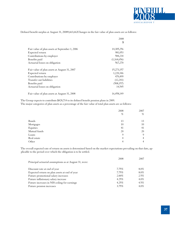

|  |  | Defined benefit surplus at August 31, 20089,663,662Changes in the fair value of plan assets are as follows: |  |
|--|--|-------------------------------------------------------------------------------------------------------------|--|
|--|--|-------------------------------------------------------------------------------------------------------------|--|

|                                                | 2008        |
|------------------------------------------------|-------------|
|                                                | \$          |
| Fair value of plan assets at September 1, 2006 | 14,305,256  |
| Expected return                                | 981,053     |
| Contributions by employer                      | 584,234     |
| Benefits paid                                  | (1,164,656) |
| Actuarial losses on obligation                 | 567,270     |
| Fair value of plan assets at August 31, 2007   | 15,273,157  |
| Expected return                                | 1,220,346   |
| Contributions by employer                      | 470,499     |
| Transfer out liabilities                       | (12,241)    |
| Benefits paid                                  | (508, 157)  |
| Actuarial losses on obligation                 | 14,545      |
| Fair value of plan assets at August 31, 2008   | 16,458,149  |

The Group expects to contribute \$428,714 to its defined benefit pension plans in 2009. The major categories of plan assets as a percentage of the fair value of total plan assets are as follows:

|              | 2008<br>% | 2007<br>% |
|--------------|-----------|-----------|
|              |           |           |
| <b>Bonds</b> | 13        | 13        |
| Mortgages    | 10        | 10        |
| Equities     | 41        | 41        |
| Mutual funds | 20        | 20        |
| Loans        | 9         | Q         |
| Real estate  | 4         |           |
| Other        | 4         |           |

The overall expected rate of return on assets is determined based on the market expectations prevailing on that date, applicable to the period over which the obligation is to be settled.

| 7.75%<br>8.0%    |
|------------------|
| $7.75\%$<br>8.0% |
| 2.5%<br>$2.00\%$ |
| $4.0\%$<br>4.25% |
| $4.5\%$<br>4.25% |
| $4.0\%$<br>3.75% |
|                  |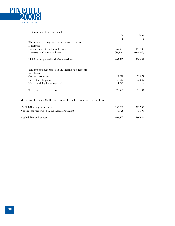

| 16. | Post-retirement medical benefits                                               |                     |            |
|-----|--------------------------------------------------------------------------------|---------------------|------------|
|     |                                                                                | 2008                | 2007       |
|     |                                                                                | \$                  | \$         |
|     | The amounts recognized in the balance sheet are<br>as follows:                 |                     |            |
|     | Present value of funded obligations                                            | 465,921             | 441,581    |
|     | Unrecognized actuarial losses                                                  | (58, 324)           | (104, 912) |
|     | Liability recognized in the balance sheet                                      | 407,597             | 336,669    |
|     |                                                                                | =================== |            |
|     | The amounts recognized in the income statement are<br>as follows:              |                     |            |
|     | Current service cost                                                           | 29,038              | 21,078     |
|     | Interest on obligation                                                         | 37,650              | 22,025     |
|     | Net actuarial gains recognized                                                 | 4,240               |            |
|     | Total, included in staff costs                                                 | 70,928              | 43,103     |
|     | Movements in the net liability recognized in the balance sheet are as follows: |                     |            |
|     | Net liability, beginning of year                                               | 336,669             | 293,566    |
|     | Net expense recognized in the income statement                                 | 70,928              | 43,103     |
|     | Net liability, end of year                                                     | 407,597             | 336,669    |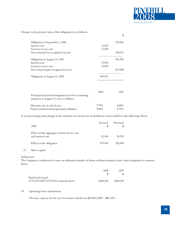

\$

Changes in the present value of the obligation are as follows:

| Obligation at August 31, 2008         | 465,921 |                              |
|---------------------------------------|---------|------------------------------|
| Net actuarial gain recognized in year |         | (42,348)                     |
| Current service cost                  | 29,038  |                              |
| Interest cost                         | 37,650  |                              |
| Obligation at August 31, 2007         |         | 441,581                      |
| Net actuarial loss recognized in year |         | 104,912<br>----------------- |
| Current service cost                  | 21,078  |                              |
| Interest cost                         | 22,025  |                              |
| Obligation at September 1, 2006       |         | 293,566                      |

|                                                                                                | 2008     | 2007  |
|------------------------------------------------------------------------------------------------|----------|-------|
| Principal actuarial assumptions used for accounting<br>purposes at August 31, were as follows: |          |       |
| Discount rate at end of year                                                                   | $7.75\%$ | 8.00% |
| Future medical claims/premium inflation                                                        | $5.00\%$ | 5.25% |

A one percentage point change in the assumed rate of increase in healthcare costs would have the following effects:

| 2008                                                              | Increase | Decrease |
|-------------------------------------------------------------------|----------|----------|
| Effect on the aggregate current service cost<br>and interest cost | 82,340   | 54,520   |
| Effect on the obligation                                          | 571,963  | 382,698  |

#### 17. Share capital

Authorized:

The Company is authorized to issue an unlimited number of shares without nominal or par value designated as common shares.

|                                          | 2008      | 2007      |
|------------------------------------------|-----------|-----------|
|                                          |           |           |
| Stated and issued:                       |           |           |
| 4,729,529 (2007-4,729,529) common shares | 1,006,204 | 1,006,204 |

# 18. Operating lease commitment

The lease expense for the year for motor vehicles was \$24,003 (2007 – \$81,251).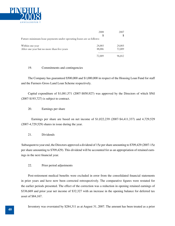

|                                                                      | 2008<br>\$ | 2007   |
|----------------------------------------------------------------------|------------|--------|
| Future minimum lease payments under operating leases are as follows: |            |        |
| Within one year                                                      | 24,003     | 24,003 |
| After one year but no more than five years                           | 48,006     | 72,009 |
|                                                                      | 72,009     | 96,012 |

# 19. Commitments and contingencies

The Company has guaranteed \$500,000 and \$1,000,000 in respect of the Housing Loan Fund for staff and the Farmers Gross Land Loan Scheme respectively.

Capital expenditure of \$1,081,571 (2007-\$850,927) was approved by the Directors of which \$Nil (2007-\$193,727) is subject to contract.

20. Earnings per share

Earnings per share are based on net income of \$1,022,239 (2007-\$4,411,337) and 4,729,529 (2007-4,729,529) shares in issue during the year.

21. Dividends

Subsequent to year end, the Directors approved a dividend of  $15¢$  per share amounting to \$709,429 (2007-15¢) per share amounting to \$709,429). This dividend will be accounted for as an appropriation of retained earnings in the next financial year.

22. Prior period adjustments

Post-retirement medical benefits were excluded in error from the consolidated financial statements in prior years and have now been corrected retrospectively. The comparative figures were restated for the earlier periods presented. The effect of the correction was a reduction in opening retained earnings of \$336,669 and prior year net income of \$32,327 with an increase in the opening balance for deferred tax asset of \$84,167.

Inventory was overstated by \$284,311 as at August 31, 2007. The amount has been treated as a prior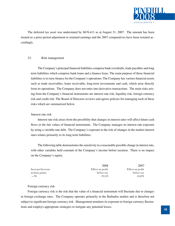

The deferred tax asset was understated by \$676,411 as at August 31, 2007. The amount has been treated as a prior period adjustment to retained earnings and the 2007 comparatives have been restated accordingly.

# 23. Risk management

The Company's principal financial liabilities comprise bank overdrafts, trade payables and long term liabilities which comprise bank loans and a finance lease. The main purpose of these financial liabilities is to raise finance for the Company's operations. The Company has various financial assets such as trade receivables, loans receivable, long-term investments and cash, which arise directly from its operations. The Company does not enter into derivative transactions. The main risks arising from the Company's financial instruments are interest rate risk, liquidity risk, foreign currency risk and credit risk. The Board of Directors reviews and agrees policies for managing each of these risks which are summarized below.

# Interest rate risk

Interest rate risk arises from the possibility that changes in interest rates will affect future cash flows or the fair values of financial instruments. The Company manages its interest rate exposure by using a variable rate debt. The Company's exposure to the risk of changes in the market interest rates relates primarily to its long term liabilities.

The following table demonstrates the sensitivity to a reasonable possible change in interest rate, with other variables held constant of the Company's income before taxation. There is no impact on the Company's equity.

|                   | 2008             | 2007             |
|-------------------|------------------|------------------|
| Increase/decrease | Effect on profit | Effect on profit |
| in basis points   | before tax       | before tax       |
| $+ -50$           | 15.139           | 14.070           |

# Foreign currency risk

Foreign currency risk is the risk that the value of a financial instrument will fluctuate due to changes in foreign exchange rates. The Company operates primarily in the Barbados market and is therefore not subject to significant foreign currency risk. Management monitors its exposure to foreign currency fluctuations and employs appropriate strategies to mitigate any potential losses. **41**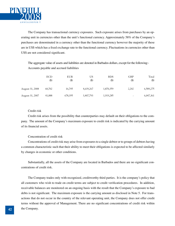

The Company has transactional currency exposures. Such exposure arises from purchases by an operating unit in currencies other than the unit's functional currency. Approximately 58% of the Company's purchases are denominated in a currency other than the functional currency however the majority of these are in US\$ which has a fixed exchange rate to the functional currency. Fluctuations in currencies other than US\$ are not considered significant.

The aggregate value of assets and liabilities are denoted in Barbados dollars, except for the following:- Accounts payable and accrued liabilities

|                 | <b>ECD</b><br>(\$) | <b>EUR</b><br>(\$) | US<br>$(\$\,)$ | <b>BDS</b><br>$(\$\,)$ | GBP<br>(\$) | Total<br>$(\text{$}^{\sharp})$ |
|-----------------|--------------------|--------------------|----------------|------------------------|-------------|--------------------------------|
| August 31, 2008 | 60,702             | 16.745             | 4,639,267      | 1,870,359              | 2,202       | 6,589,275                      |
| August 31, 2007 | 41,888             | 678,395            | 3,407,793      | 1,919,285              | -           | 6,047,361                      |

# Credit risk

Credit risk arises from the possibility that counterparties may default on their obligations to the company. The amount of the Company's maximum exposure to credit risk is indicated by the carrying amount of its financial assets.

# Concentration of credit risk

Concentrations of credit risk may arise from exposures to a single debtor or to groups of debtors having a common characteristic such that their ability to meet their obligations is expected to be affected similarly by changes in economic or other conditions.

Substantially, all the assets of the Company are located in Barbados and there are no significant concentrations of credit risk.

The Company trades only with recognized, creditworthy third parties. It is the company's policy that all customers who wish to trade on credit terms are subject to credit verification procedures. In addition, receivable balances are monitored on an ongoing basis with the result that the Company's exposure to bad debts is not significant. The maximum exposure is the carrying amount as disclosed in Note 5. For transactions that do not occur in the country of the relevant operating unit, the Company does not offer credit terms without the approval of Management. There are no significant concentrations of credit risk within the Company. **42**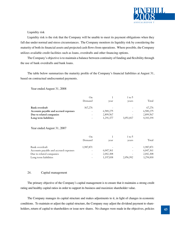

Liquidity risk

Liquidity risk is the risk that the Company will be unable to meet its payment obligations when they fall due under normal and stress circumstances. The Company monitors its liquidity risk by considering the maturity of both its financial assets and projected cash flows from operations. Where possible, the Company utilizes available credit facilities such as loans, overdrafts and other financing options.

The Company's objective is to maintain a balance between continuity of funding and flexibility through the use of bank overdrafts and bank loans.

The table below summarizes the maturity profile of the Company's financial liabilities at August 31, based on contractual undiscounted payments.

Year ended August 31, 2008

|                                       | On        |           | $1 \text{ to } 5$ |           |
|---------------------------------------|-----------|-----------|-------------------|-----------|
|                                       | Demand    | year      | years             | Total     |
| <b>Bank overdraft</b>                 | 367,276   |           |                   | 67,276    |
| Accounts payable and accrued expenses |           | 6,589,275 |                   | 6,589,275 |
| Due to related companies              |           | 2,899,567 |                   | 2,899,567 |
| Long term liabilities                 |           | 1,291,377 | 3,051,817         | 4,343,194 |
| Year ended August 31, 2007            |           |           |                   |           |
|                                       | On        |           | $1 \text{ to } 5$ |           |
|                                       | Demand    | year      | years             | Total     |
| Bank overdraft                        | 1,987,871 |           |                   | 1,987,871 |
| Accounts payable and accrued expenses |           | 6,047,361 |                   | 6,047,361 |
| Due to related companies              | ۰         | 2,042,308 |                   | 2,042,308 |
| Long term liabilities                 |           | 1,197,838 | 2,056,992         | 3,254,830 |

# 24. Capital management

The primary objective of the Company's capital management is to ensure that it maintains a strong credit rating and healthy capital ratios in order to support its business and maximize shareholder value.

The Company manages its capital structure and makes adjustments to it, in light of changes in economic conditions. To maintain or adjust the capital structure, the Company may adjust the dividend payment to shareholders, return of capital to shareholders or issue new shares. No changes were made in the objectives, policies **43**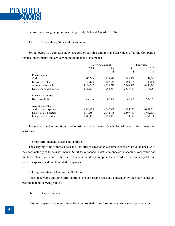

or processes during the years ended August 31, 2008 and August 31, 2007.

# 25. Fair value of financial instruments

Set out below is a comparison by category of carrying amounts and fair values of all the Company's financial instruments that are carried in the financial statements:

|                          | Carrying amount |           | Fair value |           |
|--------------------------|-----------------|-----------|------------|-----------|
|                          | 2008            | 2007      | 2008       | 2007      |
|                          | \$              | \$        | \$         | \$        |
| <b>Financial assets</b>  |                 |           |            |           |
| Cash                     | 840,508         | 154,048   | 840,508    | 154,048   |
| Loans receivable         | 100,178         | 187,338   | 100,178    | 187,338   |
| Accounts receivable      | 5,164,567       | 6,850,745 | 5,164,567  | 6,850,745 |
| Due from related parties | 2,839,334       | 758,084   | 2,839,334  | 758,084   |
| Financial liabilities    |                 |           |            |           |
| Bank overdraft           | 367,376         | 1,987,861 | 367,376    | 1,987,861 |
| Accounts payable         |                 |           |            |           |
| and accrued expenses     | 6,589,275       | 6,047,361 | 6,589,275  | 6,047,361 |
| Due to related parties   | 2,899,567       | 2,042,308 | 2,899,567  | 2,042,308 |
| Long-term liabilities    | 4,343,194       | 3,254,830 | 4,343,194  | 3,254,830 |
|                          |                 |           |            |           |

The methods and assumptions used to estimate the fair value of each class of financial instruments are as follows:

# i) Short-term financial assets and liabilities

The carrying value of these assets and liabilities is a reasonable estimate of their fair value because of the short maturity of these instruments. Short-term financial assets comprise cash, accounts receivable and due from related companies. Short-term financial liabilities comprise bank overdraft, accounts payable and accrued expenses and due to related companies.

ii) Long-term financial assets and liabilities

Loans receivable and long term liabilities are at variable rates and consequently their fair values approximate their carrying values.

# 26. Comparatives

Certain comparative amounts have been reclassified to conform to the current year's presentation.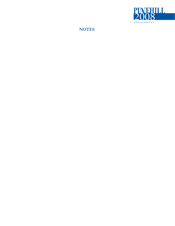

**NOTES**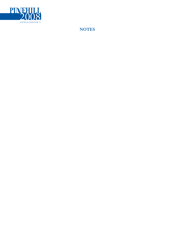

# **NOTES**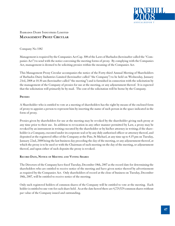

# Barbados Dairy Industries Limited **Management Proxy Circular**

# Company No 3382

Management is required by the Companies Act Cap. 308 of the Laws of Barbados (hereinafter called the "Companies Act") to send with the notice convening the meeting forms of proxy. By complying with the Companies Act, management is deemed to be soliciting proxies within the meaning of the Companies Act.

This Management Proxy Circular accompanies the notice of the Forty-third Annual Meeting of Shareholders of Barbados Dairy Industries Limited (hereinafter called "the Company") to be held on Wednesday, January 23rd, 2008 at 10.30 am (hereinafter called "the meeting") and is furnished in connection with the solicitation by the management of the Company of proxies for use at the meeting, or any adjournment thereof. It is expected that the solicitation will primarily be by mail. The cost of the solicitation will be borne by the Company.

# **Proxies**

A Shareholder who is entitled to vote at a meeting of shareholders has the right by means of the enclosed form of proxy to appoint a person to represent him by inserting the name of such person in the space indicated in the form of proxy.

Proxies given by shareholders for use at the meeting may be revoked by the shareholder giving such proxy at any time prior to their use. In addition to revocation in any other manner permitted by Law, a proxy may be revoked by an instrument in writing executed by the shareholder or by his/her attorney in writing; if the shareholder is a Company, executed under its corporate seal or by any duly authorised officer or attorney thereof, and deposited at the registered office of the Company at the Pine, St Michael, at any time up to 4.15 pm on Tuesday, January 22nd, 2008 being the last business day preceding the day of the meeting, or any adjournment thereof, at which the proxy is to be used or with the Chairman of such meeting on the day of the meeting, or adjournment thereof, and upon either of such deposits the proxy is revoked.

# **Record Date, Notice of Meeting and Voting Shares**

The Directors of the Company have fixed Tuesday, December 18th, 2007 as the record date for determining the shareholders who are entitled to receive notice of the meeting and have given notice thereof by advertisement as required by the Companies Act. Only shareholders of record at the close of business on Tuesday, December 18th, 2007, will be entitled to receive notice of the meeting.

Only such registered holders of common shares of the Company will be entitled to vote at the meeting. Each holder is entitled to one vote for each share held. As at the date hereof there are 4,729,529 common shares without par value of the Company issued and outstanding.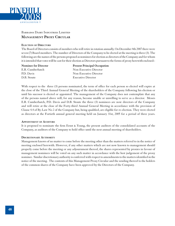

# Barbados Dairy Industries Limited **Management Proxy Circular**

# **Election of Directors**

The Board of Directors consists of members who will retire in rotation annually. On December 4th 2007 there were seven (7) Board members. The number of Directors of the Company to be elected at the meeting is three (3). The following are the names of the persons proposed as nominees for election as directors of the Company and for whom it is intended that votes will be cast for their election as Directors pursuant to the forms of proxy herewith enclosed:-

| <b>Present Principal Occupation</b> |  |  |
|-------------------------------------|--|--|
| Non-Executive Director              |  |  |
| Non-Executive Director              |  |  |
| Executive Director                  |  |  |
|                                     |  |  |

With respect to the three (3) persons nominated, the term of office for each person so elected will expire at the close of the Third Annual General Meeting of the shareholders of the Company following his election or until his sucessor is elected or appointed. The management of the Company does not contemplate that any of the persons named above will, for any reason, become unable or unwilling to serve as a director. Messrs E.R. Cumberbatch, P.D. Davis and D.B. Stoute the three (3) nominees are now directors of the Company and will retire at the close of the Forty-third Annual General Meeting in accordance with the provision of Clause 4.4 of By-Law No 2 of the Company but, being qualified, are eligible for re-election. They were elected as directors at the Fortieth annual general meeting held on January 31st, 2005 for a period of three years.

# **Appointment of Auditors**

It is proposed to nominate the firm Ernst & Young, the present auditors of the consolidated accounts of the Company, as auditors of the Company to hold office until the next annual meeting of shareholders.

# **Discretionary Authority**

Management knows of no matter to come before the meeting other than the matters referred to in the notice of meeting enclosed herewith. However, if any other matters which are not now known to management should properly come before the meeting or any adjournment thereof, the shares represented by proxies in favour of management nominees will be voted on any such matter in accordance with the best judgement of the proxy nominee. Similar discretionary authority is conferred with respect to amendments to the matters identified in the notice of the meeting. The contents of this Management Proxy Circular and the sending thereof to the holders of the common shares of the Company have been approved by the Directors of the Company.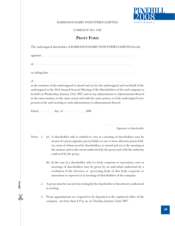

# Company No. 3382

# **Proxy Form**

The undersigned shareholder of BARBADOS DAIRY INDUSTRIES LIMITED hereby

appoints ............................................................................................................................................................... of ........................................................................................................................................................................... or, failing him ....................................................................................................................................................

as the nominee of the undersigned to attend and act for the undersigned and on behalf of the undersigned at the 43rd Annual General Meeting of the Shareholders of the said company to be held on Wednesday, January 23rd, 2007, and at any adjournment or adjournments thereof in the same manner, to the same extent and with the same powers as if the undersigned were present at the said meeting or such adjournment or adjournments thereof.

Dated .......................... day of ...................................... 2008

CUT HERE

of ...........................................................................................................................................................................

Signature of shareholder

......................................................................

Notes 1. (a) A shareholder who is entitled to vote at a meeting of shareholders may by means of a proxy appoint a proxy holder or one or more alternate proxy holders, none of whom need be shareholders, to attend and act at the meeting in the manner and to the extent authorised by the proxy and with the authority conferred by the proxy.

> (b) In the case of a shareholder who is a body corporate or association, votes at meetings of shareholders may be given by an individual authorised by a resolution of the directors or governing body of that body corporate or association to represent it at meetings of shareholders of the company.

2. A proxy must be executed in writing by the shareholder or his attorney authorised in writing. 3. A proxy must be executed in writing by the shareholder or his attorney authorised<br>
in writing.<br>
3. Proxy appointments are required to be deposited at the registered office of the<br>
3. Proxy appointments are required to b

company not later than 4.15 p. m. on Tuesday, January 22nd, 2007.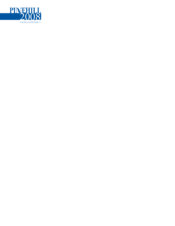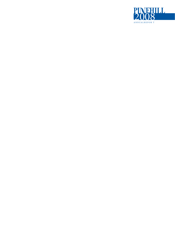